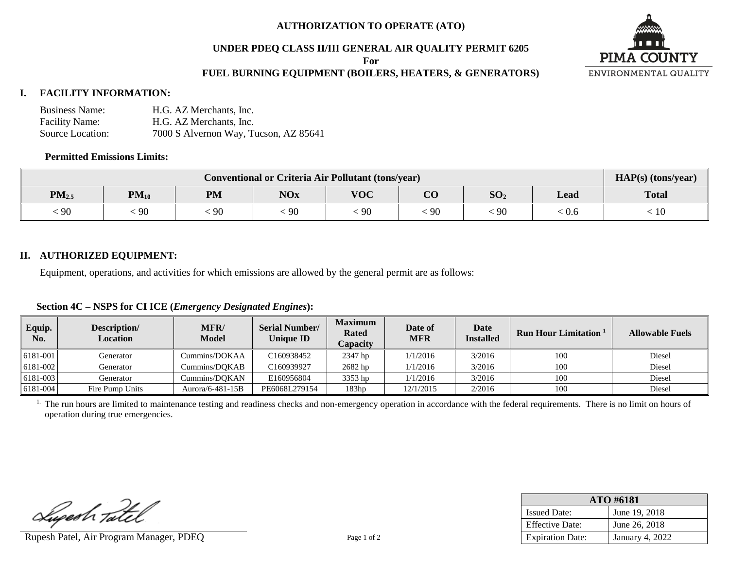### **AUTHORIZATION TO OPERATE (ATO)**

## **UNDER PDEQ CLASS II/III GENERAL AIR QUALITY PERMIT 6205**

**For**

# **FUEL BURNING EQUIPMENT (BOILERS, HEATERS, & GENERATORS)**



# **I. FACILITY INFORMATION:**

| <b>Business Name:</b> | H.G. AZ Merchants, Inc.               |
|-----------------------|---------------------------------------|
| <b>Facility Name:</b> | H.G. AZ Merchants, Inc.               |
| Source Location:      | 7000 S Alvernon Way, Tucson, AZ 85641 |

## **Permitted Emissions Limits:**

| <b>Conventional or Criteria Air Pollutant (tons/year)</b> |           |           |            |            |                |                 | $HAP(s)$ (tons/year) |              |
|-----------------------------------------------------------|-----------|-----------|------------|------------|----------------|-----------------|----------------------|--------------|
| $PM_{2.5}$                                                | $PM_{10}$ | <b>PM</b> | <b>NOx</b> | <b>VOC</b> | $\alpha$<br>UU | SO <sub>2</sub> | Lead                 | <b>Total</b> |
| $\epsilon$ 90                                             | 90        | 90        | $-90$      | $\cdot$ 90 | 90             | $\cdot$ 90      | : 0.6                | 10           |

## **II. AUTHORIZED EQUIPMENT:**

Equipment, operations, and activities for which emissions are allowed by the general permit are as follows:

## **Section 4C – NSPS for CI ICE (***Emergency Designated Engines***):**

| Equip.<br>No. | Description/<br><b>Location</b> | MFR/<br><b>Model</b> | <b>Serial Number/</b><br><b>Unique ID</b> | <b>Maximum</b><br><b>Rated</b><br>Capacity | Date of<br>MFR | Date<br><b>Installed</b> | <b>Run Hour Limitation</b> 1 | <b>Allowable Fuels</b> |
|---------------|---------------------------------|----------------------|-------------------------------------------|--------------------------------------------|----------------|--------------------------|------------------------------|------------------------|
| 6181-001      | Generator                       | Cummins/DOKAA        | C <sub>160938452</sub>                    | 2347 hp                                    | 1/1/2016       | 3/2016                   | 100                          | Diesel                 |
| 6181-002      | Generator                       | Cummins/DOKAB        | C160939927                                | 2682 hp                                    | 1/1/2016       | 3/2016                   | 100                          | Diesel                 |
| 6181-003      | Generator                       | Cummins/DOKAN        | E160956804                                | 3353 hp                                    | 1/1/2016       | 3/2016                   | -106                         | Diesel                 |
| 6181-004      | Fire Pump Units                 | Aurora/6-481-15B     | PE6068L279154                             | 183hp                                      | 12/1/2015      | 2/2016                   | 100                          | Diesel                 |

<sup>1.</sup> The run hours are limited to maintenance testing and readiness checks and non-emergency operation in accordance with the federal requirements. There is no limit on hours of operation during true emergencies.

Lupesh Tatel

Rupesh Patel, Air Program Manager, PDEQ Page 1 of 2

| ATO #6181               |                 |  |  |  |
|-------------------------|-----------------|--|--|--|
| <b>Issued Date:</b>     | June 19, 2018   |  |  |  |
| <b>Effective Date:</b>  | June 26, 2018   |  |  |  |
| <b>Expiration Date:</b> | January 4, 2022 |  |  |  |